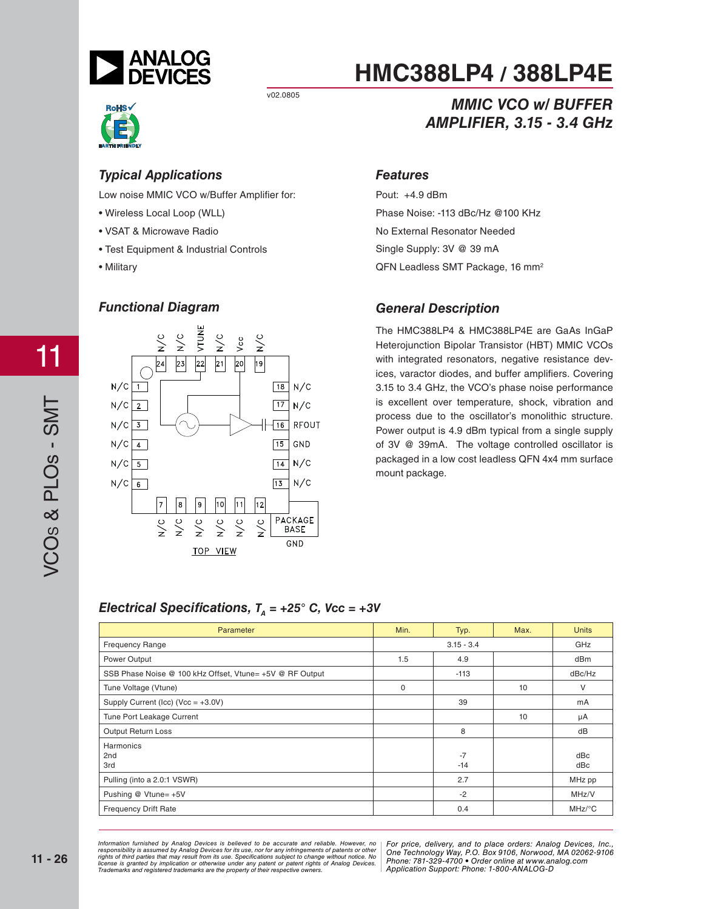

v02.0805



*Typical Applications* Low noise MMIC VCO w/Buffer Amplifi er for:

- Wireless Local Loop (WLL)
- VSAT & Microwave Radio
- Test Equipment & Industrial Controls
- Military



## **HMC388LP4 / 388LP4E**

#### **MMIC VCO w/ BUFFER AMPLIFIER, 3.15 - 3.4 GHz** *AMPLIFIER, 3.15 - 3.4 GHz*

#### **Features**

*Features* Pout: +4.9 dBm Phase Noise: -113 dBc/Hz @100 KHz No External Resonator Needed Single Supply: 3V @ 39 mA QFN Leadless SMT Package, 16 mm<sup>2</sup>

#### *General Description*

The HMC388LP4 & HMC388LP4E are GaAs InGaP Heterojunction Bipolar Transistor (HBT) MMIC VCOs with integrated resonators, negative resistance devices, varactor diodes, and buffer amplifiers. Covering 3.15 to 3.4 GHz, the VCO's phase noise performance is excellent over temperature, shock, vibration and process due to the oscillator's monolithic structure. Power output is 4.9 dBm typical from a single supply of 3V @ 39mA. The voltage controlled oscillator is packaged in a low cost leadless QFN 4x4 mm surface mount package.

#### *Electrical Specifications,*  $T_a = +25^\circ$  *C, Vcc = +3V*

| Parameter                                                | Min.         | Typ.          | Max. | <b>Units</b>         |
|----------------------------------------------------------|--------------|---------------|------|----------------------|
| <b>Frequency Range</b>                                   | $3.15 - 3.4$ |               | GHz  |                      |
| Power Output                                             | 1.5          | 4.9           |      | dB <sub>m</sub>      |
| SSB Phase Noise @ 100 kHz Offset, Vtune= +5V @ RF Output |              | $-113$        |      | dBc/Hz               |
| Tune Voltage (Vtune)                                     | 0            |               | 10   | V                    |
| Supply Current (Icc) (Vcc = $+3.0V$ )                    |              | 39            |      | mA                   |
| Tune Port Leakage Current                                |              |               | 10   | μA                   |
| Output Return Loss                                       |              | 8             |      | dB                   |
| Harmonics<br>2nd<br>3rd                                  |              | $-7$<br>$-14$ |      | dBc<br>dBc           |
| Pulling (into a 2.0:1 VSWR)                              |              | 2.7           |      | MHz pp               |
| Pushing @ Vtune= +5V                                     |              | $-2$          |      | MHz/V                |
| <b>Frequency Drift Rate</b>                              |              | 0.4           |      | $MHz$ <sup>o</sup> C |

*For price, delivered, delieved to be accurate and reliable. However, no* | For price, delivery, and to place orders: Analog *20 Alpha Road, Certification in a use, individually and the magnetic structure in the Hondingly Way, P.O. Box 9106, Norwood, Alpha Alpha Road, Alpha Road, 2794-3343 Fax: 978-250-3343 Fax: 978-250-3343 Fax: 978-250-33843 F Or patent rights or Analog Devices.* There is the component of the position of the position of the position of  $\alpha$ Information furnished by Analog Devices is believed to be accurate and reliable. However, no<br>responsibility is assumed by Analog Devices for its use, nor for any infringements of patents or other<br>rights of third parties th

*For price, delivery, and to place orders: Analog Devices, Inc., One Technology Way, P.O. Box 9106, Norwood, MA 02062-9106 Phone: 781-329-4700 • Order online at www.analog.com Application Support: Phone: 1-800-ANALOG-D*

11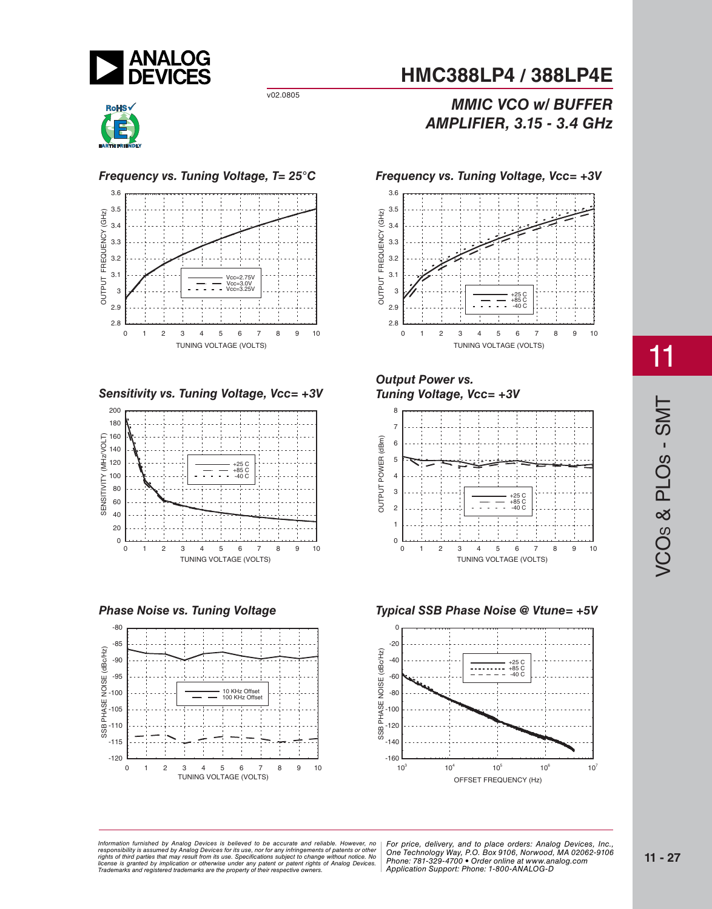

v02.0805











### *MIEIER* 315, 34 GHz *AMPLIFIER, 3.15 - 3.4 GHz*



## *Tuning Voltage V*





11

*For price, delivered, delieved to be accurate and reliable. However, no* | For price, delivery, and to place orders: Analog *20 Alpha Road, Certification in a use, individually and the magnetic structure in the Hondingly Way, P.O. Box 9106, Norwood, Alpha Alpha Road, Alpha Road, 2794-3343 Fax: 978-250-3343 Fax: 978-250-3343 Fax: 978-250-33843 F Or patent rights or Analog Devices.* There is the component of the position of the position of the position of  $\alpha$ Information furnished by Analog Devices is believed to be accurate and reliable. However, no<br>responsibility is assumed by Analog Devices for its use, nor for any infringements of patents or other<br>rights of third parties th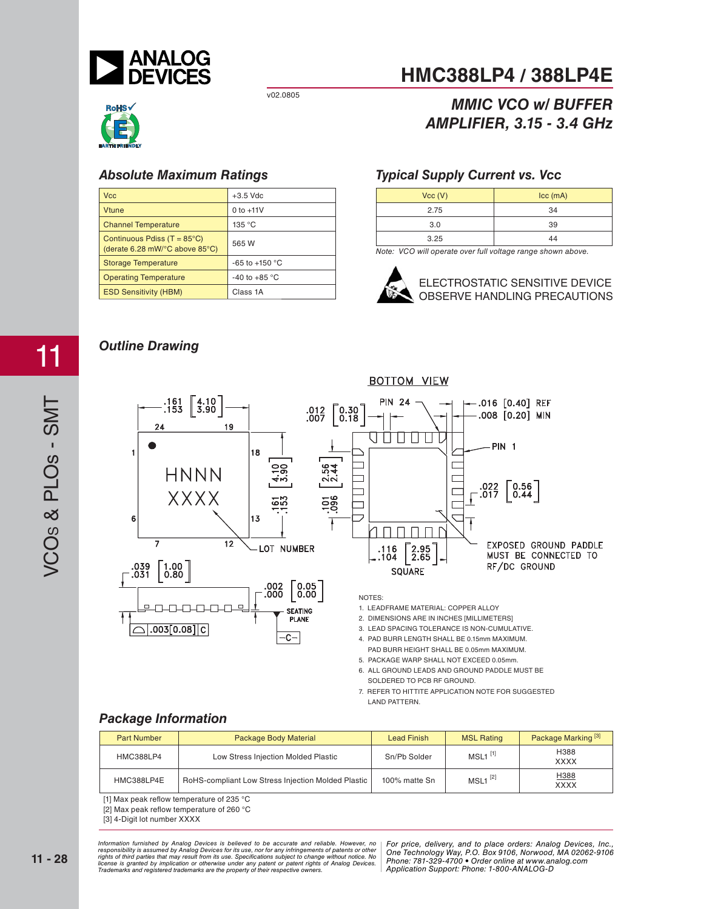

v02.0805

## **RoHS**<sup></sup>

| $+3.5$ Vdc               |
|--------------------------|
| 0 to $+11V$              |
| 135 °C                   |
| 565 W                    |
| -65 to +150 $^{\circ}$ C |
| -40 to +85 $\degree$ C   |
| Class 1A                 |
|                          |

### **HMC388LP4 / 388LP4E**

### *MIEIER* 315, 34 GHz *AMPLIFIER, 3.15 - 3.4 GHz*

#### *Typical Supply Current vs. Vcc*

| Vcc (V) | $ cc$ (mA) |
|---------|------------|
| 2.75    | 34         |
| 3.0     | 39         |
| 3.25    | 44         |

*Note: VCO will operate over full voltage range shown above.*



ELECTROSTATIC SENSITIVE DEVICE OBSERVE HANDLING PRECAUTIONS

## *Outline Drawing*

11



2. DIMENSIONS ARE IN INCHES [MILLIMETERS]

- 3. LEAD SPACING TOLERANCE IS NON-CUMULATIVE.
- 4. PAD BURR LENGTH SHALL BE 0.15mm MAXIMUM.
- PAD BURR HEIGHT SHALL BE 0.05mm MAXIMUM. 5. PACKAGE WARP SHALL NOT EXCEED 0.05mm.
- 6. ALL GROUND LEADS AND GROUND PADDLE MUST BE SOLDERED TO PCB RF GROUND.

 $.003[0.08]$ 

| <b>Part Number</b> | Package Body Material                              | <b>Lead Finish</b> | <b>MSL Rating</b>     | Package Marking <sup>[3]</sup> |
|--------------------|----------------------------------------------------|--------------------|-----------------------|--------------------------------|
| HMC388LP4          | Low Stress Injection Molded Plastic                | Sn/Pb Solder       | $MSL1$ <sup>[1]</sup> | H388<br><b>XXXX</b>            |
| HMC388LP4E         | RoHS-compliant Low Stress Injection Molded Plastic | 100% matte Sn      | $MSL1^{[2]}$          | H388<br><b>XXXX</b>            |

 $-c-$ 

[1] Max peak reflow temperature of 235  $^{\circ}$ C

[2] Max peak reflow temperature of 260 °C

[3] 4-Digit lot number XXXX

*For price, delivered, delieved to be accurate and reliable. However, no* | For price, delivery, and to place orders: Analog *20 Alpha Road, Certification in a use, individually and the magnetic structure in the Hondingly Way, P.O. Box 9106, Norwood, Alpha Alpha Road, Alpha Road, 2794-3343 Fax: 978-250-3343 Fax: 978-250-3343 Fax: 978-250-33843 F Or patent rights or Analog Devices.* There is the component of the position of the position of the position of  $\alpha$ Information furnished by Analog Devices is believed to be accurate and reliable. However, no<br>responsibility is assumed by Analog Devices for its use, nor for any infringements of patents or other<br>rights of third parties th

<sup>7.</sup> REFER TO HITTITE APPLICATION NOTE FOR SUGGESTED LAND PATTERN.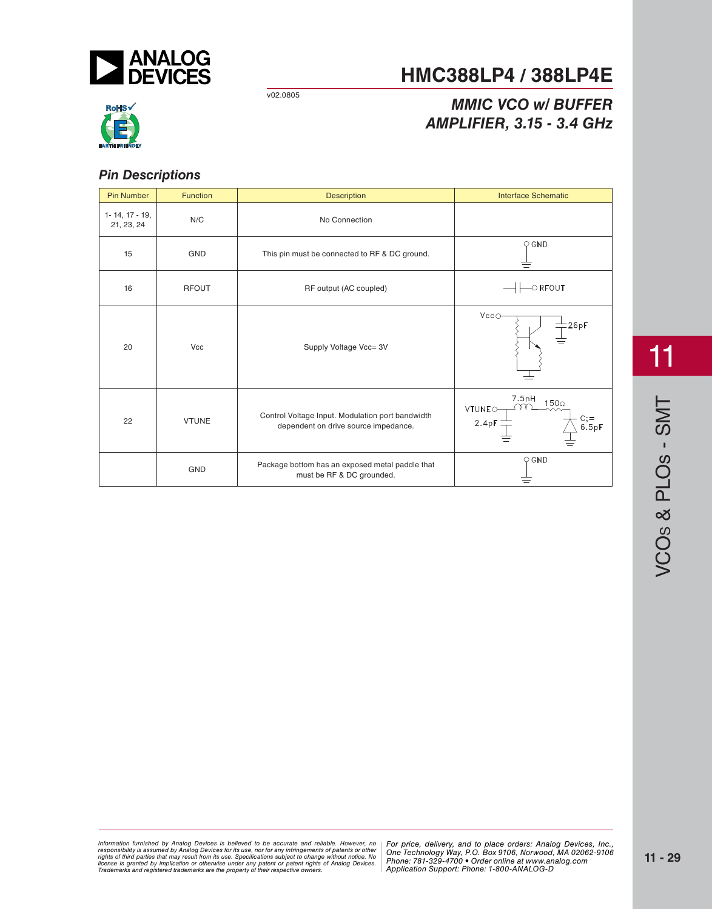

**HMC388LP4 / 388LP4E**

v02.0805

## *MIEIER* 315, 34 GHz *AMPLIFIER, 3.15 - 3.4 GHz*



#### *Pin Descriptions*

| <b>Pin Number</b>                    | Function     | <b>Description</b>                                                                       | <b>Interface Schematic</b>                                             |
|--------------------------------------|--------------|------------------------------------------------------------------------------------------|------------------------------------------------------------------------|
| $1 - 14$ , $17 - 19$ ,<br>21, 23, 24 | N/C          | No Connection                                                                            |                                                                        |
| 15                                   | <b>GND</b>   | This pin must be connected to RF & DC ground.                                            | $\bigcirc$ GND                                                         |
| 16                                   | <b>RFOUT</b> | RF output (AC coupled)                                                                   | $\circ$ RFOUT                                                          |
| 20                                   | Vcc          | Supply Voltage Vcc= 3V                                                                   | Vcc<br>26pF                                                            |
| 22                                   | <b>VTUNE</b> | Control Voltage Input. Modulation port bandwidth<br>dependent on drive source impedance. | 7.5nH<br>150 <sub>0</sub><br>VTUNEO-<br>С;=<br>6.5рF<br>$2.4pF \equiv$ |
|                                      | <b>GND</b>   | Package bottom has an exposed metal paddle that<br>must be RF & DC grounded.             | $\bigcirc$ GND                                                         |

11

*For price, delivered, delieved to be accurate and reliable. However, no* | For price, delivery, and to place orders: Analog *20 Alpha Road, Certification in a use, individually and the magnetic structure in the Hondingly Way, P.O. Box 9106, Norwood, Alpha Alpha Road, Alpha Road, 2794-3343 Fax: 978-250-3343 Fax: 978-250-3343 Fax: 978-250-33843 F Or patent rights or Analog Devices.* There is the component of the position of the position of the position of  $\alpha$ Information furnished by Analog Devices is believed to be accurate and reliable. However, no<br>responsibility is assumed by Analog Devices for its use, nor for any infringements of patents or other<br>rights of third parties th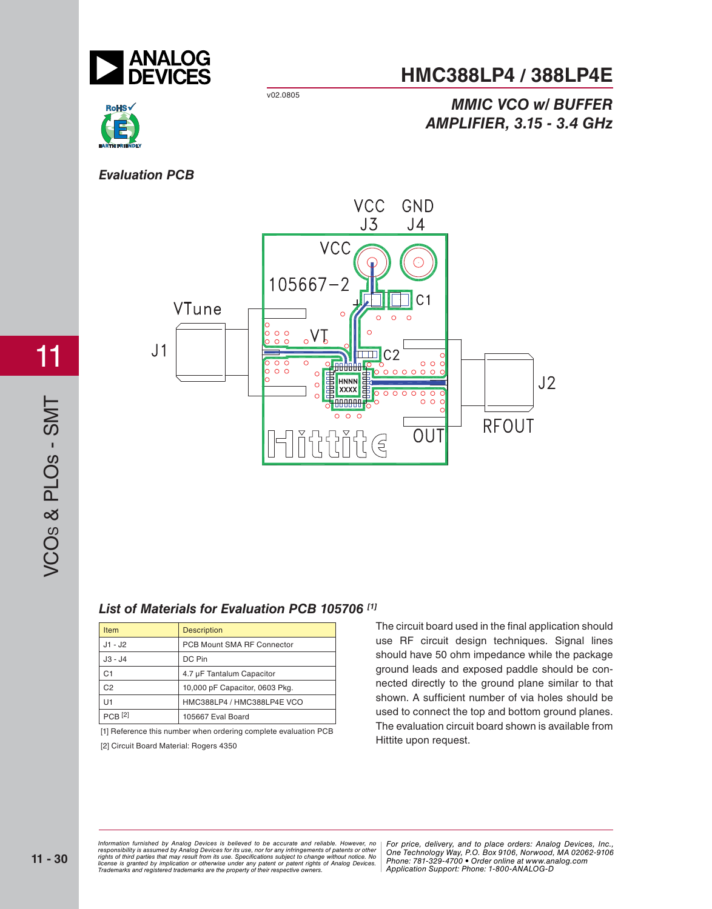

#### **HMC388LP4 / 388LP4E**

v02.0805



## *MIEIER* 315, 34 GHz *AMPLIFIER, 3.15 - 3.4 GHz*

#### **Evaluation PCB**



# VCO<sub>S</sub> & PLO<sub>S</sub> - SMT S & PLOs - SMT

11

#### *List of Materials for Evaluation PCB 105706 [1]*

| <b>Item</b>    | <b>Description</b>             |  |
|----------------|--------------------------------|--|
| J1 - J2        | PCB Mount SMA RF Connector     |  |
| J3 - J4        | DC Pin                         |  |
| C <sub>1</sub> | 4.7 µF Tantalum Capacitor      |  |
| C2             | 10,000 pF Capacitor, 0603 Pkg. |  |
| U1             | HMC388LP4 / HMC388LP4E VCO     |  |
| $PCB$ [2]      | 105667 Eval Board              |  |

[1] Reference this number when ordering complete evaluation PCB [2] Circuit Board Material: Rogers 4350

The circuit board used in the final application should use RF circuit design techniques. Signal lines should have 50 ohm impedance while the package ground leads and exposed paddle should be connected directly to the ground plane similar to that shown. A sufficient number of via holes should be used to connect the top and bottom ground planes. The evaluation circuit board shown is available from Hittite upon request.

*For price, delivered, delieved to be accurate and reliable. However, no* | For price, delivery, and to place orders: Analog *20 Alpha Road, Certification in a use, individually and the magnetic structure in the Hondingly Way, P.O. Box 9106, Norwood, Alpha Alpha Road, Alpha Road, 2794-3343 Fax: 978-250-3343 Fax: 978-250-3343 Fax: 978-250-33843 F Or patent rights or Analog Devices.* There is the component of the position of the position of the position of  $\alpha$ Information furnished by Analog Devices is believed to be accurate and reliable. However, no<br>responsibility is assumed by Analog Devices for its use, nor for any infringements of patents or other<br>rights of third parties th